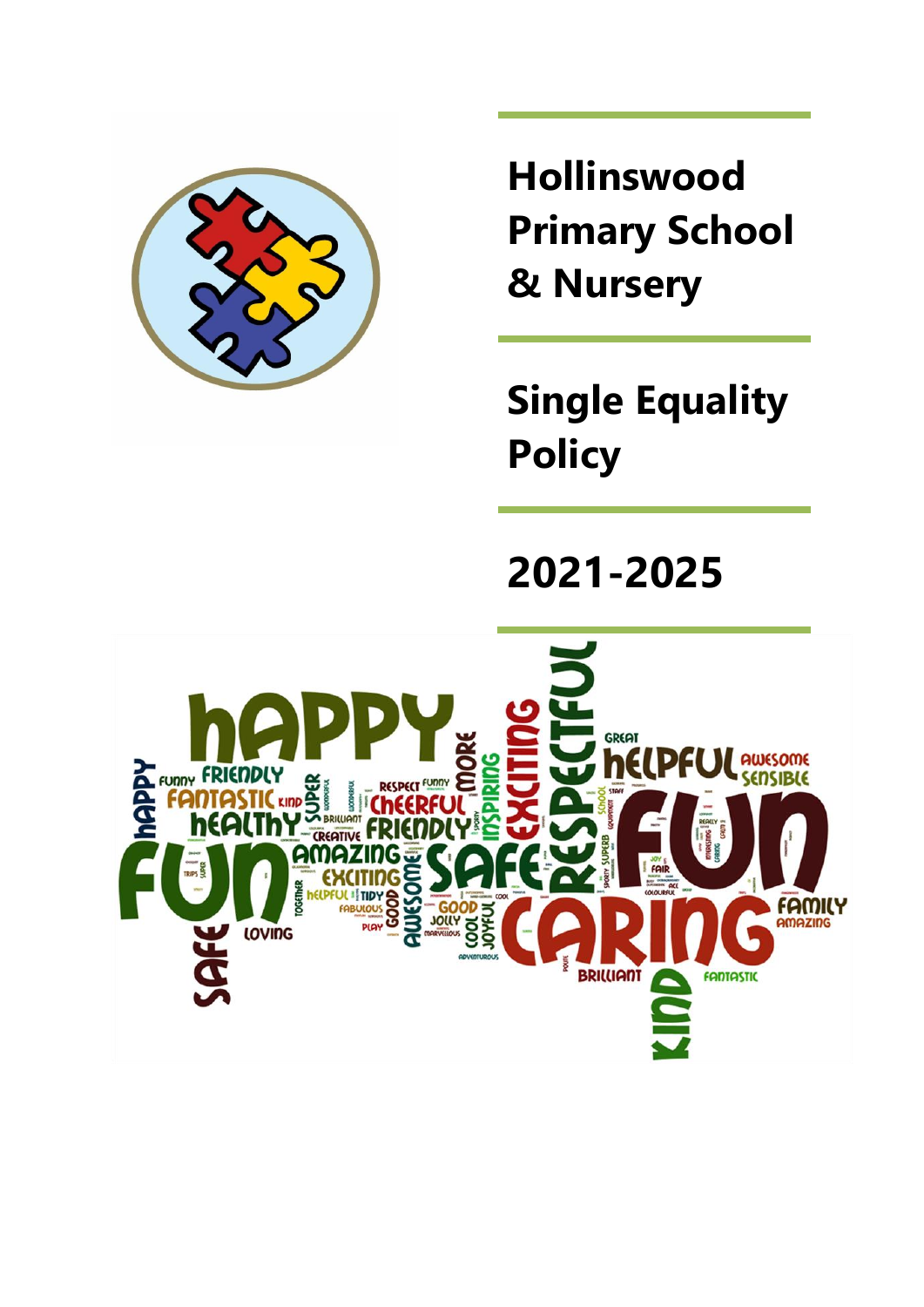

**Hollinswood Primary School & Nursery**

**Single Equality Policy**

# **2021-2025**

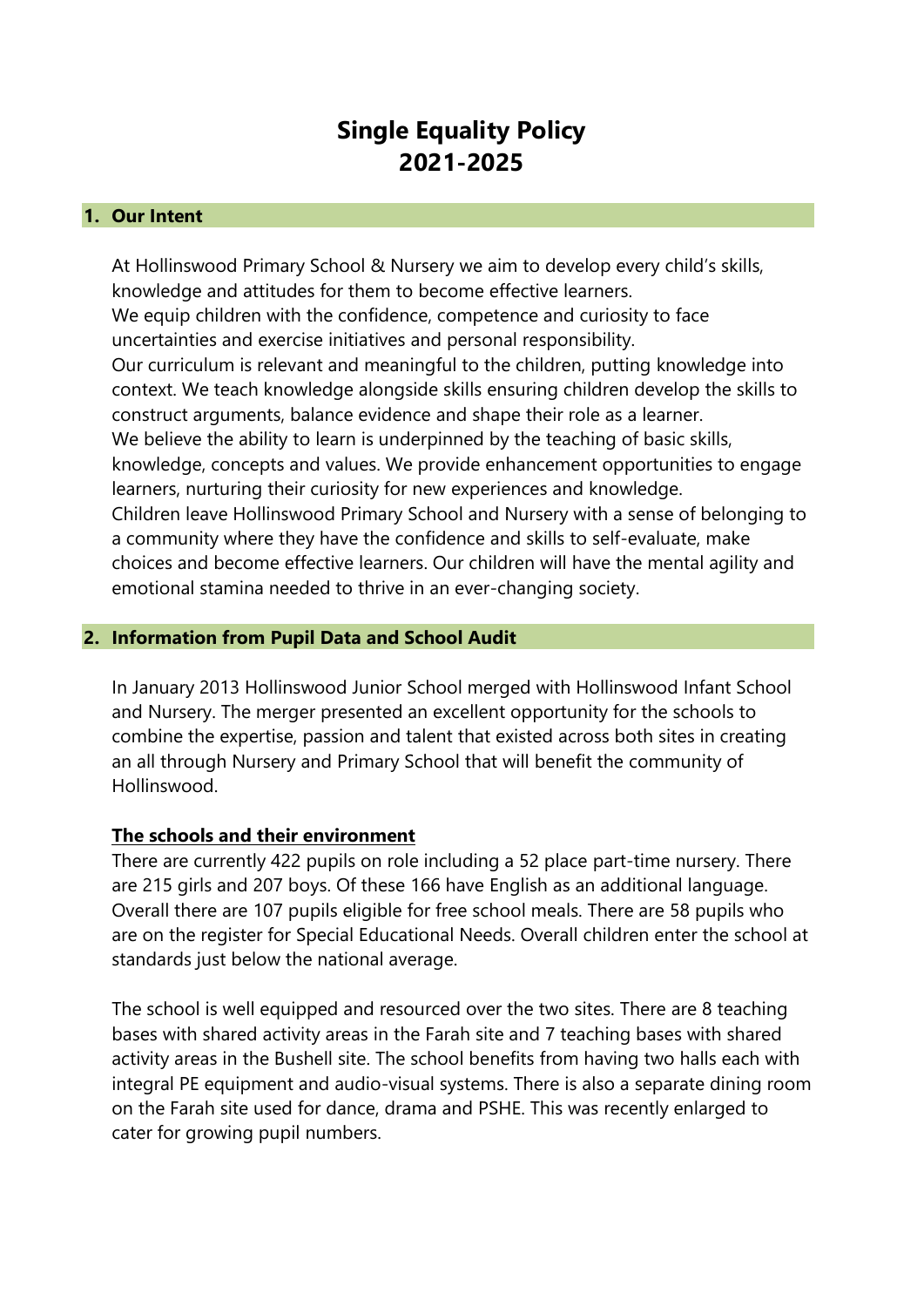# **Single Equality Policy 2021-2025**

#### **1. Our Intent**

At Hollinswood Primary School & Nursery we aim to develop every child's skills, knowledge and attitudes for them to become effective learners. We equip children with the confidence, competence and curiosity to face uncertainties and exercise initiatives and personal responsibility. Our curriculum is relevant and meaningful to the children, putting knowledge into context. We teach knowledge alongside skills ensuring children develop the skills to construct arguments, balance evidence and shape their role as a learner. We believe the ability to learn is underpinned by the teaching of basic skills, knowledge, concepts and values. We provide enhancement opportunities to engage learners, nurturing their curiosity for new experiences and knowledge. Children leave Hollinswood Primary School and Nursery with a sense of belonging to a community where they have the confidence and skills to self-evaluate, make choices and become effective learners. Our children will have the mental agility and emotional stamina needed to thrive in an ever-changing society.

#### **2. Information from Pupil Data and School Audit**

In January 2013 Hollinswood Junior School merged with Hollinswood Infant School and Nursery. The merger presented an excellent opportunity for the schools to combine the expertise, passion and talent that existed across both sites in creating an all through Nursery and Primary School that will benefit the community of Hollinswood.

#### **The schools and their environment**

There are currently 422 pupils on role including a 52 place part-time nursery. There are 215 girls and 207 boys. Of these 166 have English as an additional language. Overall there are 107 pupils eligible for free school meals. There are 58 pupils who are on the register for Special Educational Needs. Overall children enter the school at standards just below the national average.

The school is well equipped and resourced over the two sites. There are 8 teaching bases with shared activity areas in the Farah site and 7 teaching bases with shared activity areas in the Bushell site. The school benefits from having two halls each with integral PE equipment and audio-visual systems. There is also a separate dining room on the Farah site used for dance, drama and PSHE. This was recently enlarged to cater for growing pupil numbers.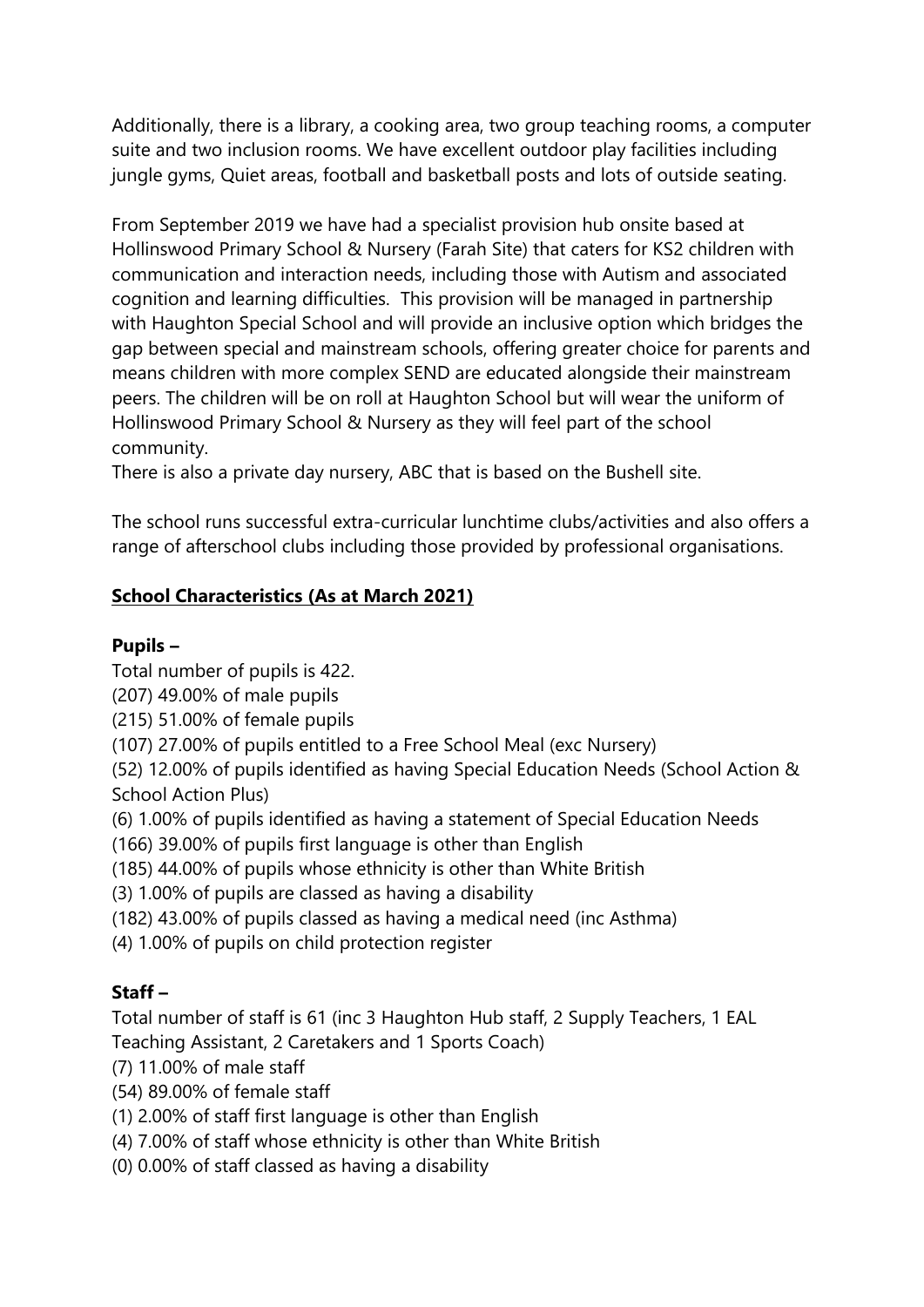Additionally, there is a library, a cooking area, two group teaching rooms, a computer suite and two inclusion rooms. We have excellent outdoor play facilities including jungle gyms, Quiet areas, football and basketball posts and lots of outside seating.

From September 2019 we have had a specialist provision hub onsite based at Hollinswood Primary School & Nursery (Farah Site) that caters for KS2 children with communication and interaction needs, including those with Autism and associated cognition and learning difficulties. This provision will be managed in partnership with Haughton Special School and will provide an inclusive option which bridges the gap between special and mainstream schools, offering greater choice for parents and means children with more complex SEND are educated alongside their mainstream peers. The children will be on roll at Haughton School but will wear the uniform of Hollinswood Primary School & Nursery as they will feel part of the school community.

There is also a private day nursery, ABC that is based on the Bushell site.

The school runs successful extra-curricular lunchtime clubs/activities and also offers a range of afterschool clubs including those provided by professional organisations.

## **School Characteristics (As at March 2021)**

### **Pupils –**

Total number of pupils is 422.

(207) 49.00% of male pupils

(215) 51.00% of female pupils

(107) 27.00% of pupils entitled to a Free School Meal (exc Nursery)

(52) 12.00% of pupils identified as having Special Education Needs (School Action & School Action Plus)

(6) 1.00% of pupils identified as having a statement of Special Education Needs

(166) 39.00% of pupils first language is other than English

(185) 44.00% of pupils whose ethnicity is other than White British

(3) 1.00% of pupils are classed as having a disability

(182) 43.00% of pupils classed as having a medical need (inc Asthma)

(4) 1.00% of pupils on child protection register

## **Staff –**

Total number of staff is 61 (inc 3 Haughton Hub staff, 2 Supply Teachers, 1 EAL Teaching Assistant, 2 Caretakers and 1 Sports Coach)

(7) 11.00% of male staff

(54) 89.00% of female staff

(1) 2.00% of staff first language is other than English

(4) 7.00% of staff whose ethnicity is other than White British

(0) 0.00% of staff classed as having a disability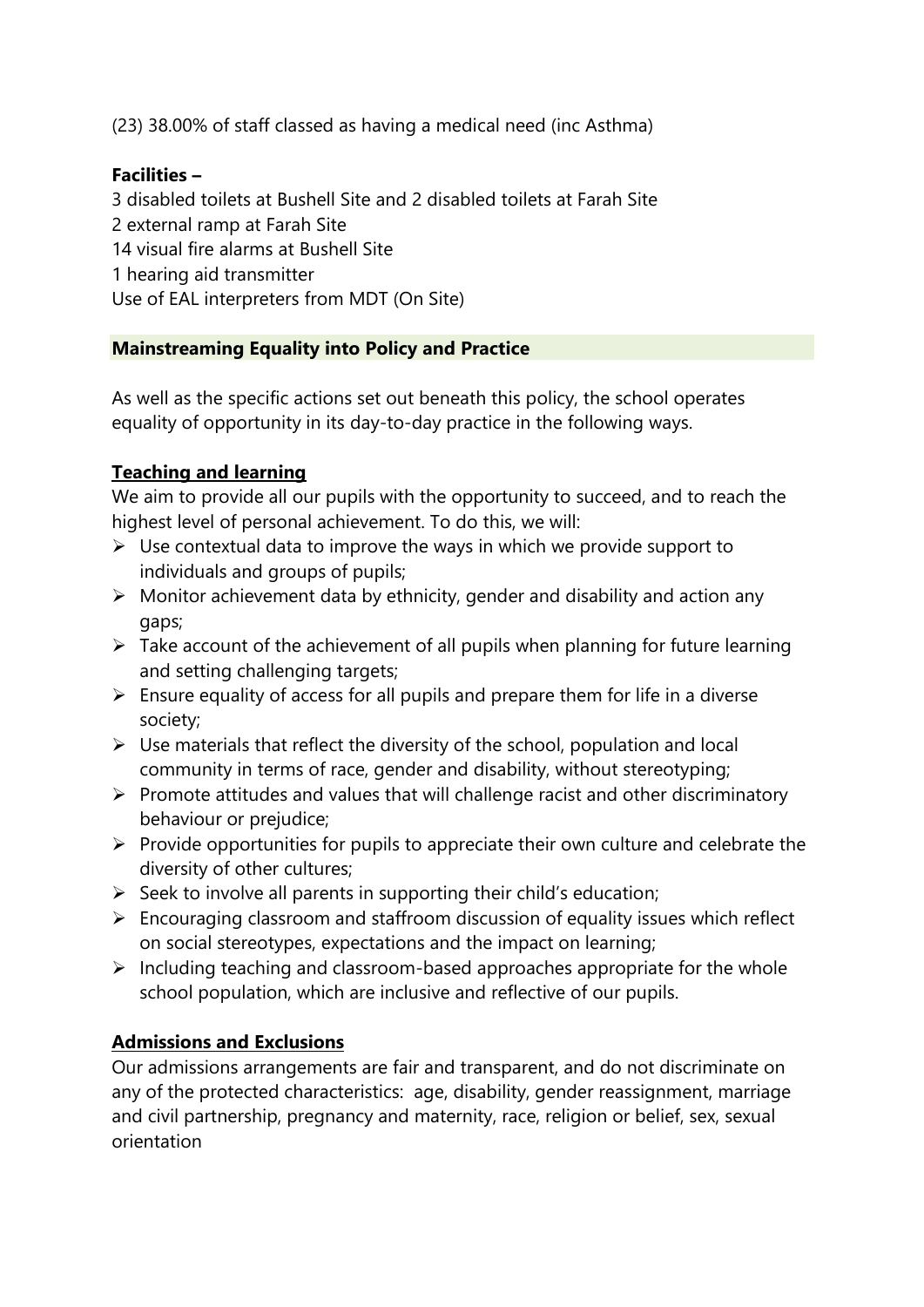(23) 38.00% of staff classed as having a medical need (inc Asthma)

#### **Facilities –**

3 disabled toilets at Bushell Site and 2 disabled toilets at Farah Site 2 external ramp at Farah Site 14 visual fire alarms at Bushell Site 1 hearing aid transmitter Use of EAL interpreters from MDT (On Site)

#### **Mainstreaming Equality into Policy and Practice**

As well as the specific actions set out beneath this policy, the school operates equality of opportunity in its day-to-day practice in the following ways.

#### **Teaching and learning**

We aim to provide all our pupils with the opportunity to succeed, and to reach the highest level of personal achievement. To do this, we will:

- $\triangleright$  Use contextual data to improve the ways in which we provide support to individuals and groups of pupils;
- ➢ Monitor achievement data by ethnicity, gender and disability and action any gaps;
- $\triangleright$  Take account of the achievement of all pupils when planning for future learning and setting challenging targets;
- $\triangleright$  Ensure equality of access for all pupils and prepare them for life in a diverse society;
- $\triangleright$  Use materials that reflect the diversity of the school, population and local community in terms of race, gender and disability, without stereotyping;
- ➢ Promote attitudes and values that will challenge racist and other discriminatory behaviour or prejudice;
- $\triangleright$  Provide opportunities for pupils to appreciate their own culture and celebrate the diversity of other cultures;
- $\triangleright$  Seek to involve all parents in supporting their child's education;
- ➢ Encouraging classroom and staffroom discussion of equality issues which reflect on social stereotypes, expectations and the impact on learning;
- $\triangleright$  Including teaching and classroom-based approaches appropriate for the whole school population, which are inclusive and reflective of our pupils.

#### **Admissions and Exclusions**

Our admissions arrangements are fair and transparent, and do not discriminate on any of the protected characteristics: age, disability, gender reassignment, marriage and civil partnership, pregnancy and maternity, race, religion or belief, sex, sexual orientation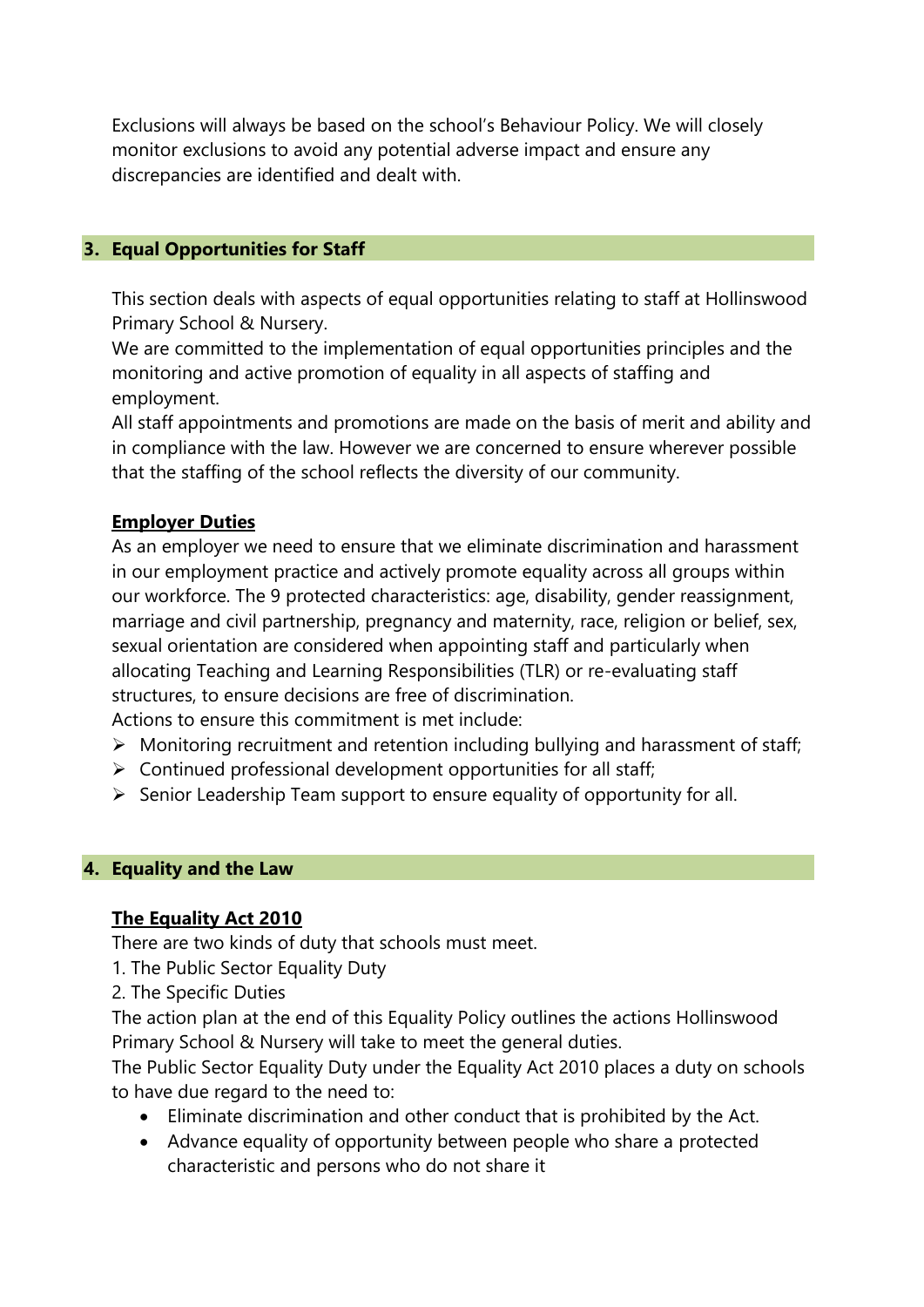Exclusions will always be based on the school's Behaviour Policy. We will closely monitor exclusions to avoid any potential adverse impact and ensure any discrepancies are identified and dealt with.

#### **3. Equal Opportunities for Staff**

This section deals with aspects of equal opportunities relating to staff at Hollinswood Primary School & Nursery.

We are committed to the implementation of equal opportunities principles and the monitoring and active promotion of equality in all aspects of staffing and employment.

All staff appointments and promotions are made on the basis of merit and ability and in compliance with the law. However we are concerned to ensure wherever possible that the staffing of the school reflects the diversity of our community.

#### **Employer Duties**

As an employer we need to ensure that we eliminate discrimination and harassment in our employment practice and actively promote equality across all groups within our workforce. The 9 protected characteristics: age, disability, gender reassignment, marriage and civil partnership, pregnancy and maternity, race, religion or belief, sex, sexual orientation are considered when appointing staff and particularly when allocating Teaching and Learning Responsibilities (TLR) or re-evaluating staff structures, to ensure decisions are free of discrimination. Actions to ensure this commitment is met include:

- ➢ Monitoring recruitment and retention including bullying and harassment of staff;
- $\triangleright$  Continued professional development opportunities for all staff;
- ➢ Senior Leadership Team support to ensure equality of opportunity for all.

#### **4. Equality and the Law**

#### **The Equality Act 2010**

There are two kinds of duty that schools must meet.

- 1. The Public Sector Equality Duty
- 2. The Specific Duties

The action plan at the end of this Equality Policy outlines the actions Hollinswood Primary School & Nursery will take to meet the general duties.

The Public Sector Equality Duty under the Equality Act 2010 places a duty on schools to have due regard to the need to:

- Eliminate discrimination and other conduct that is prohibited by the Act.
- Advance equality of opportunity between people who share a protected characteristic and persons who do not share it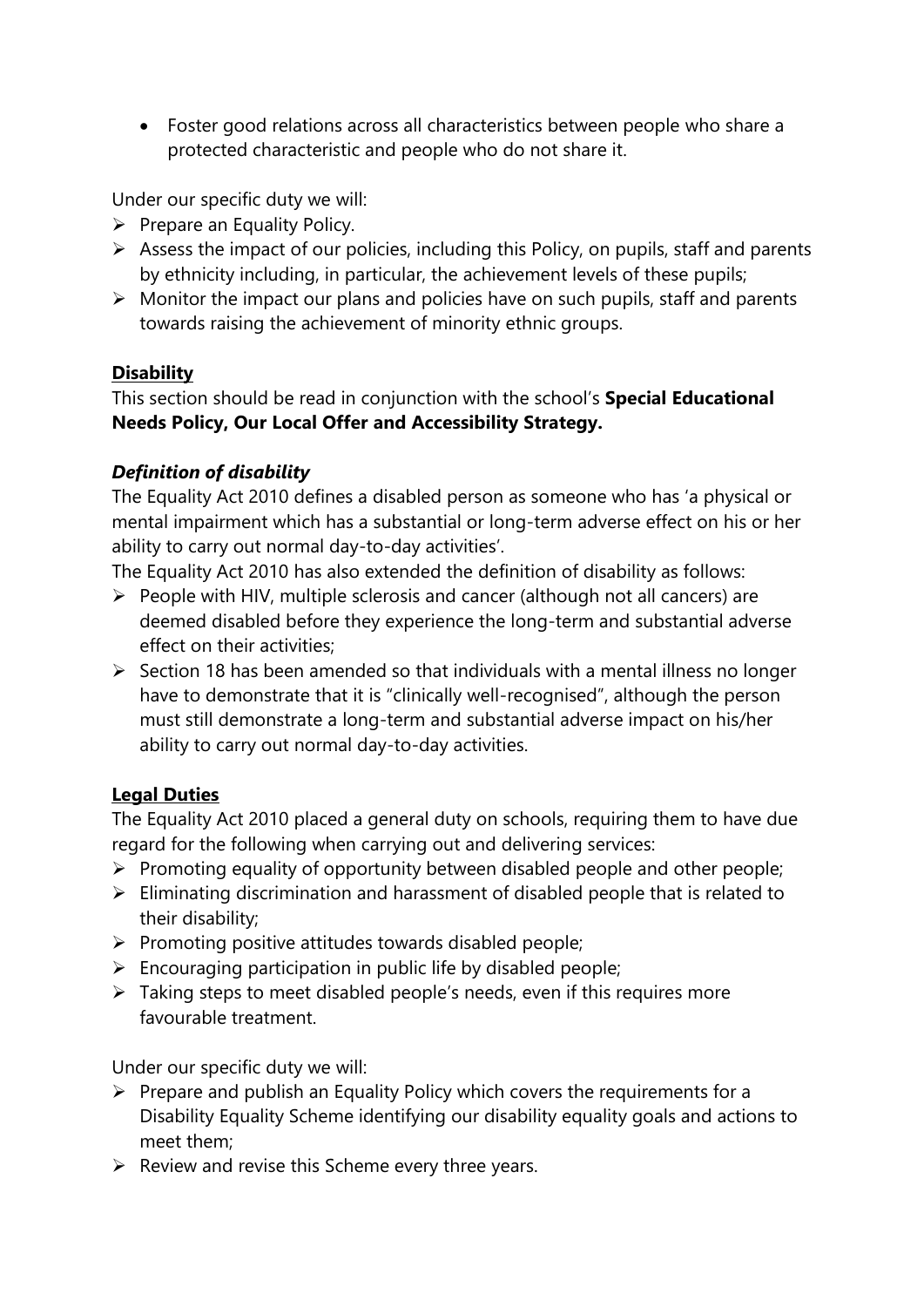• Foster good relations across all characteristics between people who share a protected characteristic and people who do not share it.

Under our specific duty we will:

- $\triangleright$  Prepare an Equality Policy.
- ➢ Assess the impact of our policies, including this Policy, on pupils, staff and parents by ethnicity including, in particular, the achievement levels of these pupils;
- ➢ Monitor the impact our plans and policies have on such pupils, staff and parents towards raising the achievement of minority ethnic groups.

#### **Disability**

This section should be read in conjunction with the school's **Special Educational Needs Policy, Our Local Offer and Accessibility Strategy.**

#### *Definition of disability*

The Equality Act 2010 defines a disabled person as someone who has 'a physical or mental impairment which has a substantial or long-term adverse effect on his or her ability to carry out normal day-to-day activities'.

The Equality Act 2010 has also extended the definition of disability as follows:

- ➢ People with HIV, multiple sclerosis and cancer (although not all cancers) are deemed disabled before they experience the long-term and substantial adverse effect on their activities;
- ➢ Section 18 has been amended so that individuals with a mental illness no longer have to demonstrate that it is "clinically well-recognised", although the person must still demonstrate a long-term and substantial adverse impact on his/her ability to carry out normal day-to-day activities.

#### **Legal Duties**

The Equality Act 2010 placed a general duty on schools, requiring them to have due regard for the following when carrying out and delivering services:

- $\triangleright$  Promoting equality of opportunity between disabled people and other people;
- ➢ Eliminating discrimination and harassment of disabled people that is related to their disability;
- ➢ Promoting positive attitudes towards disabled people;
- $\triangleright$  Encouraging participation in public life by disabled people;
- $\triangleright$  Taking steps to meet disabled people's needs, even if this requires more favourable treatment.

Under our specific duty we will:

- $\triangleright$  Prepare and publish an Equality Policy which covers the requirements for a Disability Equality Scheme identifying our disability equality goals and actions to meet them;
- $\triangleright$  Review and revise this Scheme every three years.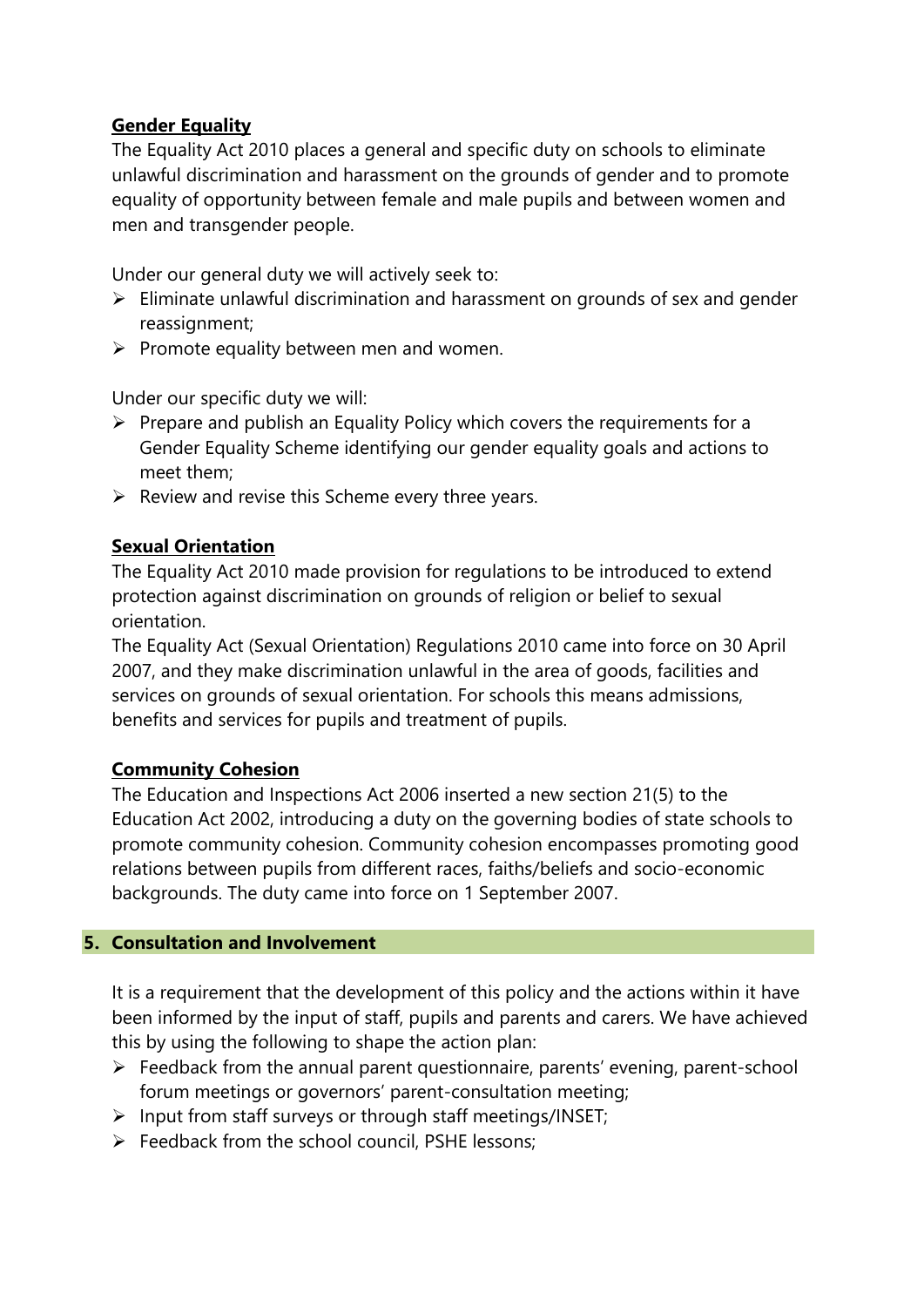#### **Gender Equality**

The Equality Act 2010 places a general and specific duty on schools to eliminate unlawful discrimination and harassment on the grounds of gender and to promote equality of opportunity between female and male pupils and between women and men and transgender people.

Under our general duty we will actively seek to:

- ➢ Eliminate unlawful discrimination and harassment on grounds of sex and gender reassignment;
- $\triangleright$  Promote equality between men and women.

Under our specific duty we will:

- ➢ Prepare and publish an Equality Policy which covers the requirements for a Gender Equality Scheme identifying our gender equality goals and actions to meet them;
- $\triangleright$  Review and revise this Scheme every three years.

#### **Sexual Orientation**

The Equality Act 2010 made provision for regulations to be introduced to extend protection against discrimination on grounds of religion or belief to sexual orientation.

The Equality Act (Sexual Orientation) Regulations 2010 came into force on 30 April 2007, and they make discrimination unlawful in the area of goods, facilities and services on grounds of sexual orientation. For schools this means admissions, benefits and services for pupils and treatment of pupils.

#### **Community Cohesion**

The Education and Inspections Act 2006 inserted a new section 21(5) to the Education Act 2002, introducing a duty on the governing bodies of state schools to promote community cohesion. Community cohesion encompasses promoting good relations between pupils from different races, faiths/beliefs and socio-economic backgrounds. The duty came into force on 1 September 2007.

#### **5. Consultation and Involvement**

It is a requirement that the development of this policy and the actions within it have been informed by the input of staff, pupils and parents and carers. We have achieved this by using the following to shape the action plan:

- ➢ Feedback from the annual parent questionnaire, parents' evening, parent-school forum meetings or governors' parent-consultation meeting;
- ➢ Input from staff surveys or through staff meetings/INSET;
- $\triangleright$  Feedback from the school council, PSHE lessons: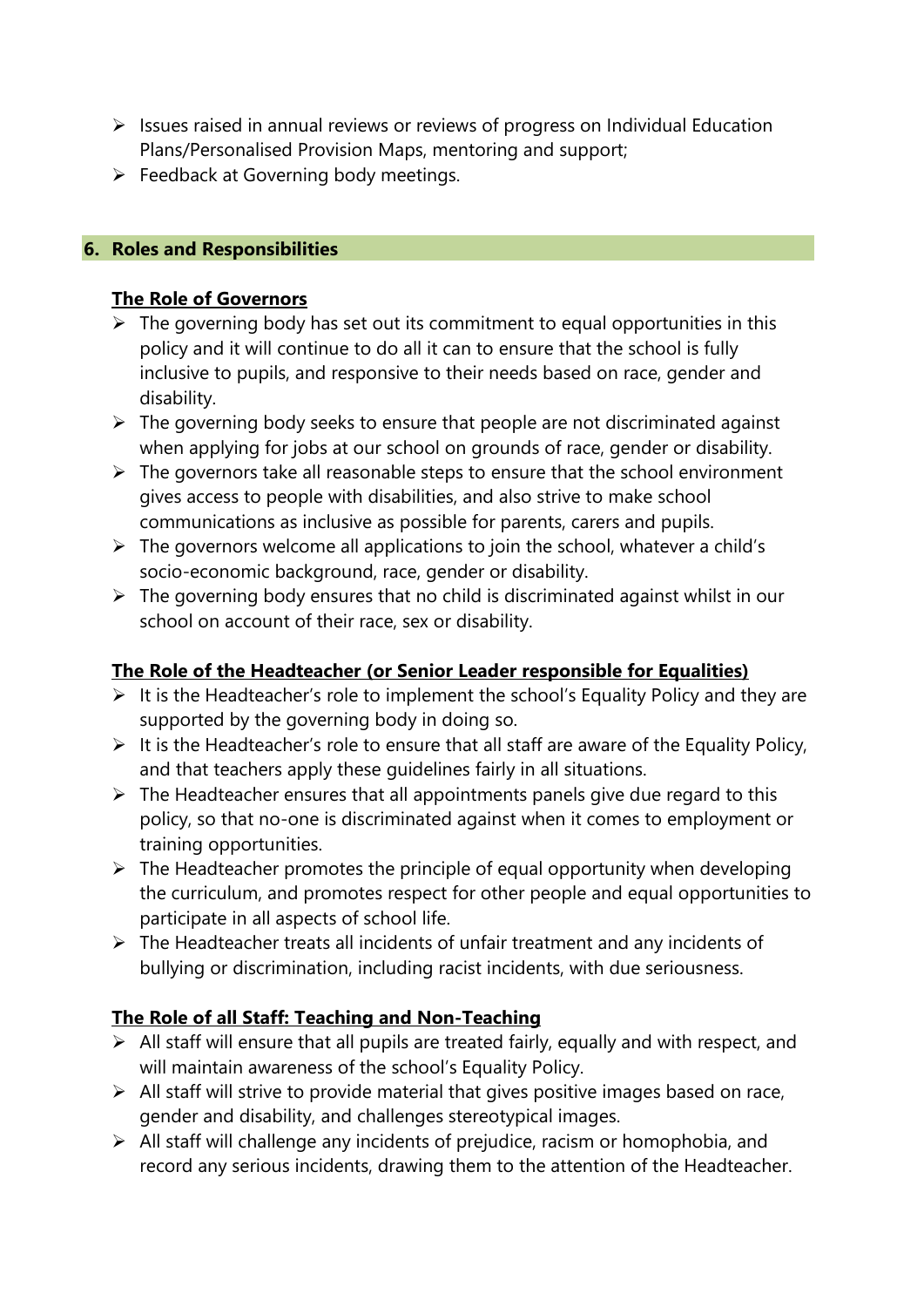- ➢ Issues raised in annual reviews or reviews of progress on Individual Education Plans/Personalised Provision Maps, mentoring and support;
- $\triangleright$  Feedback at Governing body meetings.

#### **6. Roles and Responsibilities**

#### **The Role of Governors**

- $\triangleright$  The governing body has set out its commitment to equal opportunities in this policy and it will continue to do all it can to ensure that the school is fully inclusive to pupils, and responsive to their needs based on race, gender and disability.
- $\triangleright$  The governing body seeks to ensure that people are not discriminated against when applying for jobs at our school on grounds of race, gender or disability.
- $\triangleright$  The governors take all reasonable steps to ensure that the school environment gives access to people with disabilities, and also strive to make school communications as inclusive as possible for parents, carers and pupils.
- $\triangleright$  The governors welcome all applications to join the school, whatever a child's socio-economic background, race, gender or disability.
- $\triangleright$  The governing body ensures that no child is discriminated against whilst in our school on account of their race, sex or disability.

#### **The Role of the Headteacher (or Senior Leader responsible for Equalities)**

- ➢ It is the Headteacher's role to implement the school's Equality Policy and they are supported by the governing body in doing so.
- $\triangleright$  It is the Headteacher's role to ensure that all staff are aware of the Equality Policy, and that teachers apply these guidelines fairly in all situations.
- $\triangleright$  The Headteacher ensures that all appointments panels give due regard to this policy, so that no-one is discriminated against when it comes to employment or training opportunities.
- $\triangleright$  The Headteacher promotes the principle of equal opportunity when developing the curriculum, and promotes respect for other people and equal opportunities to participate in all aspects of school life.
- ➢ The Headteacher treats all incidents of unfair treatment and any incidents of bullying or discrimination, including racist incidents, with due seriousness.

#### **The Role of all Staff: Teaching and Non-Teaching**

- ➢ All staff will ensure that all pupils are treated fairly, equally and with respect, and will maintain awareness of the school's Equality Policy.
- $\triangleright$  All staff will strive to provide material that gives positive images based on race, gender and disability, and challenges stereotypical images.
- ➢ All staff will challenge any incidents of prejudice, racism or homophobia, and record any serious incidents, drawing them to the attention of the Headteacher.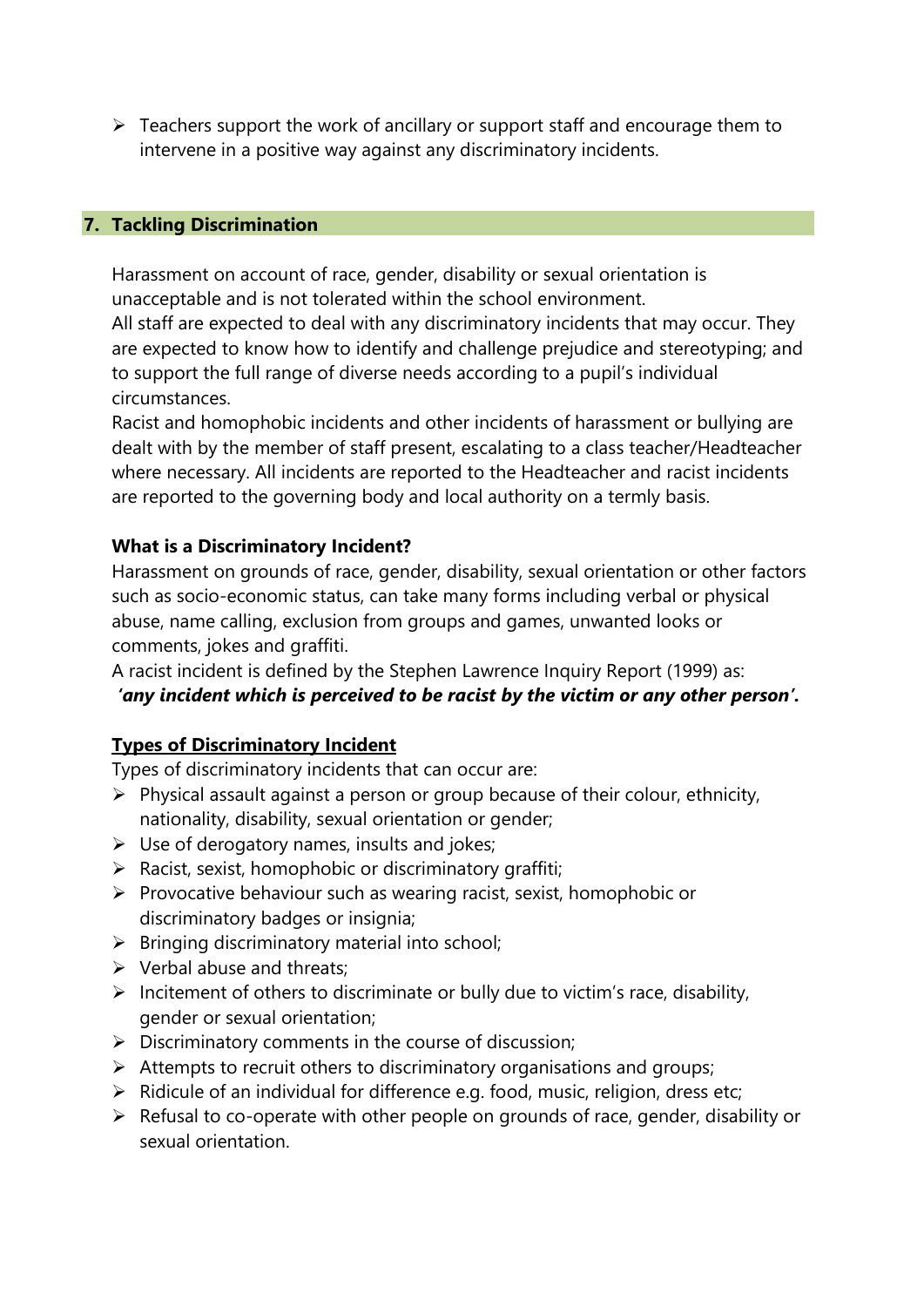$\triangleright$  Teachers support the work of ancillary or support staff and encourage them to intervene in a positive way against any discriminatory incidents.

#### **7. Tackling Discrimination**

Harassment on account of race, gender, disability or sexual orientation is unacceptable and is not tolerated within the school environment.

All staff are expected to deal with any discriminatory incidents that may occur. They are expected to know how to identify and challenge prejudice and stereotyping; and to support the full range of diverse needs according to a pupil's individual circumstances.

Racist and homophobic incidents and other incidents of harassment or bullying are dealt with by the member of staff present, escalating to a class teacher/Headteacher where necessary. All incidents are reported to the Headteacher and racist incidents are reported to the governing body and local authority on a termly basis.

#### **What is a Discriminatory Incident?**

Harassment on grounds of race, gender, disability, sexual orientation or other factors such as socio-economic status, can take many forms including verbal or physical abuse, name calling, exclusion from groups and games, unwanted looks or comments, jokes and graffiti.

A racist incident is defined by the Stephen Lawrence Inquiry Report (1999) as: *'any incident which is perceived to be racist by the victim or any other person'.*

#### **Types of Discriminatory Incident**

Types of discriminatory incidents that can occur are:

- $\triangleright$  Physical assault against a person or group because of their colour, ethnicity, nationality, disability, sexual orientation or gender;
- $\triangleright$  Use of derogatory names, insults and jokes;
- $\triangleright$  Racist, sexist, homophobic or discriminatory graffiti;
- ➢ Provocative behaviour such as wearing racist, sexist, homophobic or discriminatory badges or insignia;
- $\triangleright$  Bringing discriminatory material into school;
- $\triangleright$  Verbal abuse and threats:
- ➢ Incitement of others to discriminate or bully due to victim's race, disability, gender or sexual orientation;
- $\triangleright$  Discriminatory comments in the course of discussion;
- ➢ Attempts to recruit others to discriminatory organisations and groups;
- $\triangleright$  Ridicule of an individual for difference e.g. food, music, religion, dress etc;
- ➢ Refusal to co-operate with other people on grounds of race, gender, disability or sexual orientation.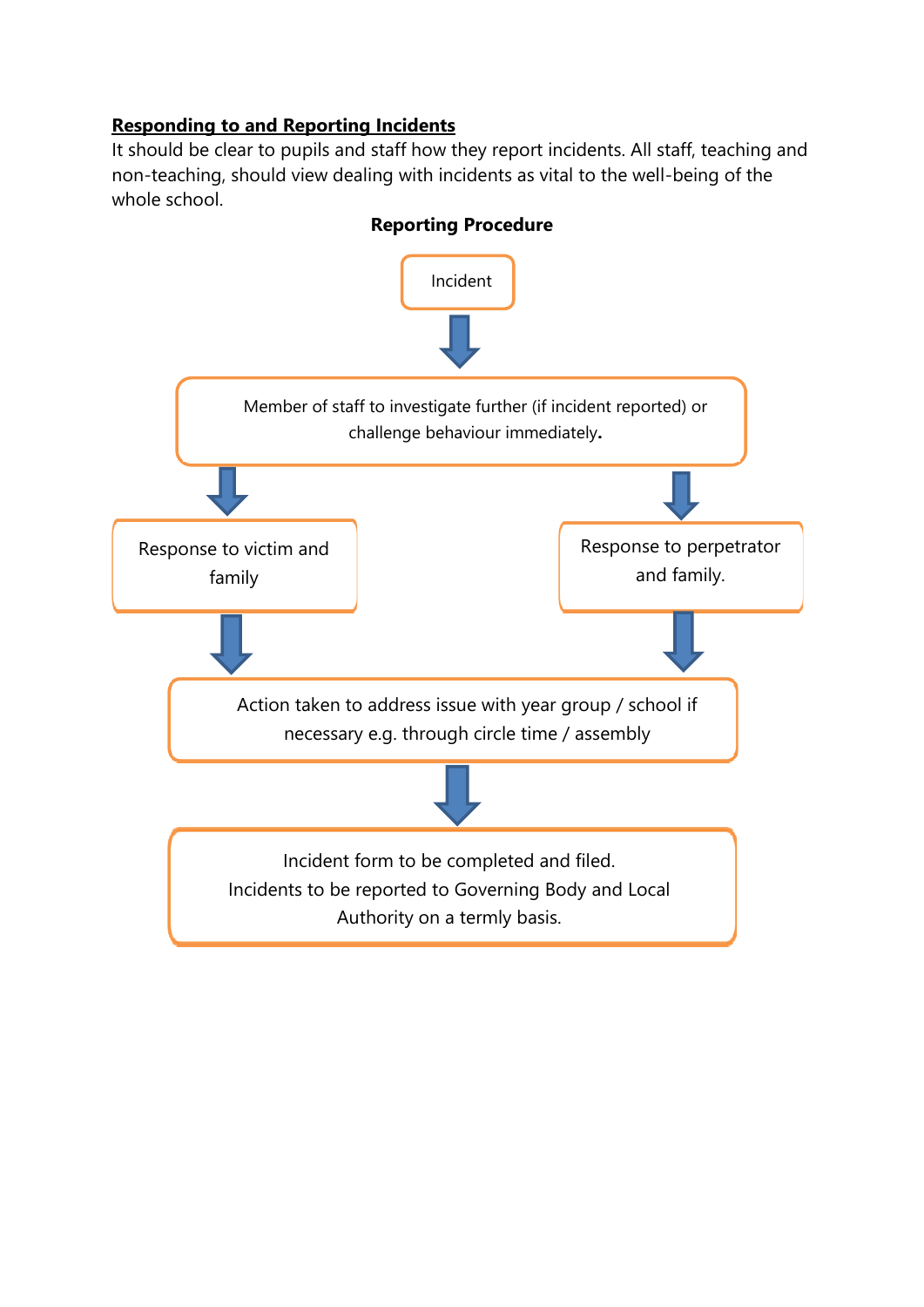#### **Responding to and Reporting Incidents**

It should be clear to pupils and staff how they report incidents. All staff, teaching and non-teaching, should view dealing with incidents as vital to the well-being of the whole school.



#### **Reporting Procedure**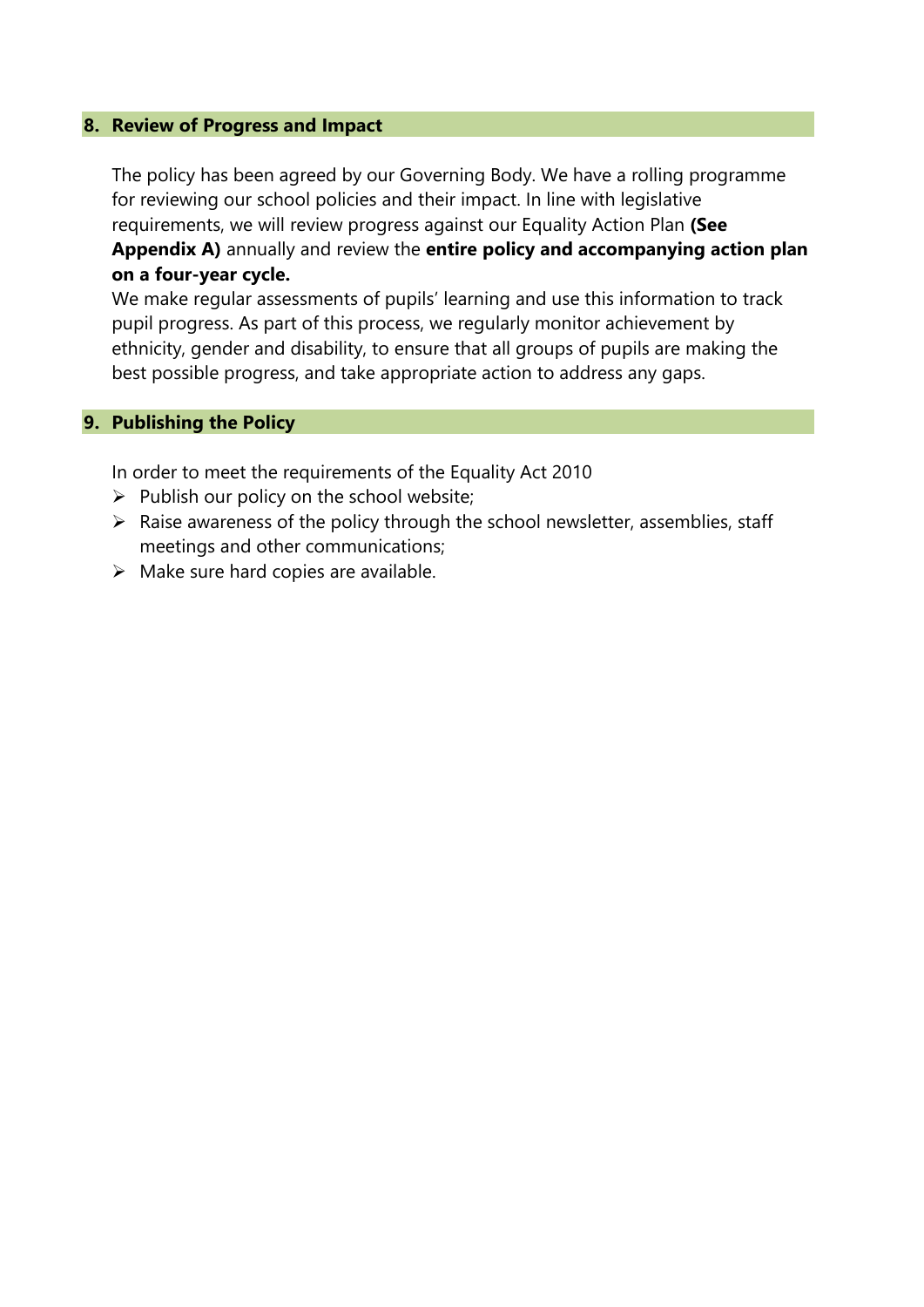#### **8. Review of Progress and Impact**

The policy has been agreed by our Governing Body. We have a rolling programme for reviewing our school policies and their impact. In line with legislative requirements, we will review progress against our Equality Action Plan **(See Appendix A)** annually and review the **entire policy and accompanying action plan on a four-year cycle.**

We make regular assessments of pupils' learning and use this information to track pupil progress. As part of this process, we regularly monitor achievement by ethnicity, gender and disability, to ensure that all groups of pupils are making the best possible progress, and take appropriate action to address any gaps.

#### **9. Publishing the Policy**

In order to meet the requirements of the Equality Act 2010

- $\triangleright$  Publish our policy on the school website;
- $\triangleright$  Raise awareness of the policy through the school newsletter, assemblies, staff meetings and other communications;
- $\triangleright$  Make sure hard copies are available.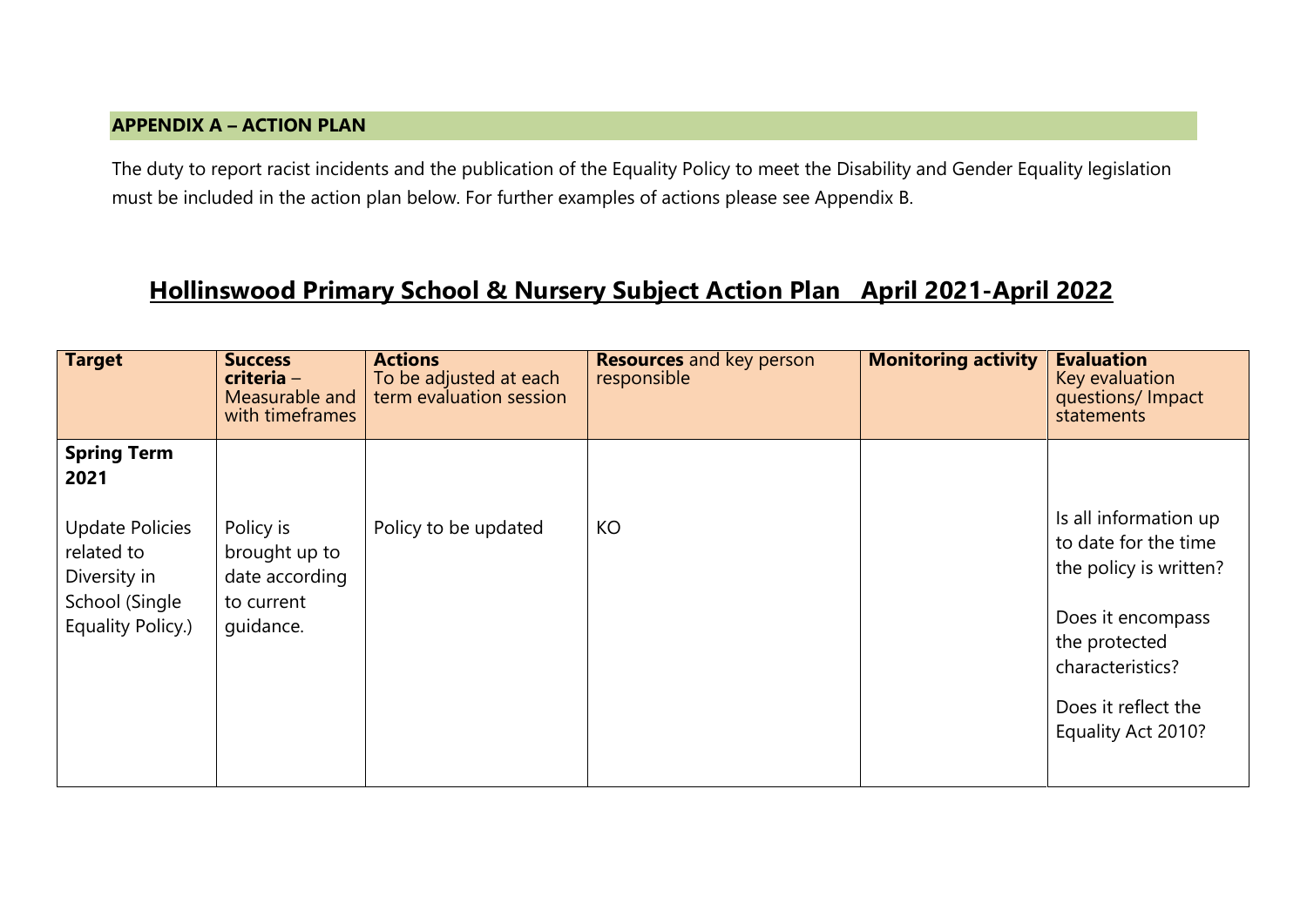#### **APPENDIX A – ACTION PLAN**

The duty to report racist incidents and the publication of the Equality Policy to meet the Disability and Gender Equality legislation must be included in the action plan below. For further examples of actions please see Appendix B.

## **Hollinswood Primary School & Nursery Subject Action Plan April 2021-April 2022**

| <b>Target</b>                                                                                                             | <b>Success</b><br>criteria -<br>Measurable and<br>with timeframes       | <b>Actions</b><br>To be adjusted at each<br>term evaluation session | <b>Resources</b> and key person<br>responsible | <b>Monitoring activity</b> | <b>Evaluation</b><br>Key evaluation<br>questions/ Impact<br>statements                                                                                                         |
|---------------------------------------------------------------------------------------------------------------------------|-------------------------------------------------------------------------|---------------------------------------------------------------------|------------------------------------------------|----------------------------|--------------------------------------------------------------------------------------------------------------------------------------------------------------------------------|
| <b>Spring Term</b><br>2021<br><b>Update Policies</b><br>related to<br>Diversity in<br>School (Single<br>Equality Policy.) | Policy is<br>brought up to<br>date according<br>to current<br>quidance. | Policy to be updated                                                | KO                                             |                            | Is all information up<br>to date for the time<br>the policy is written?<br>Does it encompass<br>the protected<br>characteristics?<br>Does it reflect the<br>Equality Act 2010? |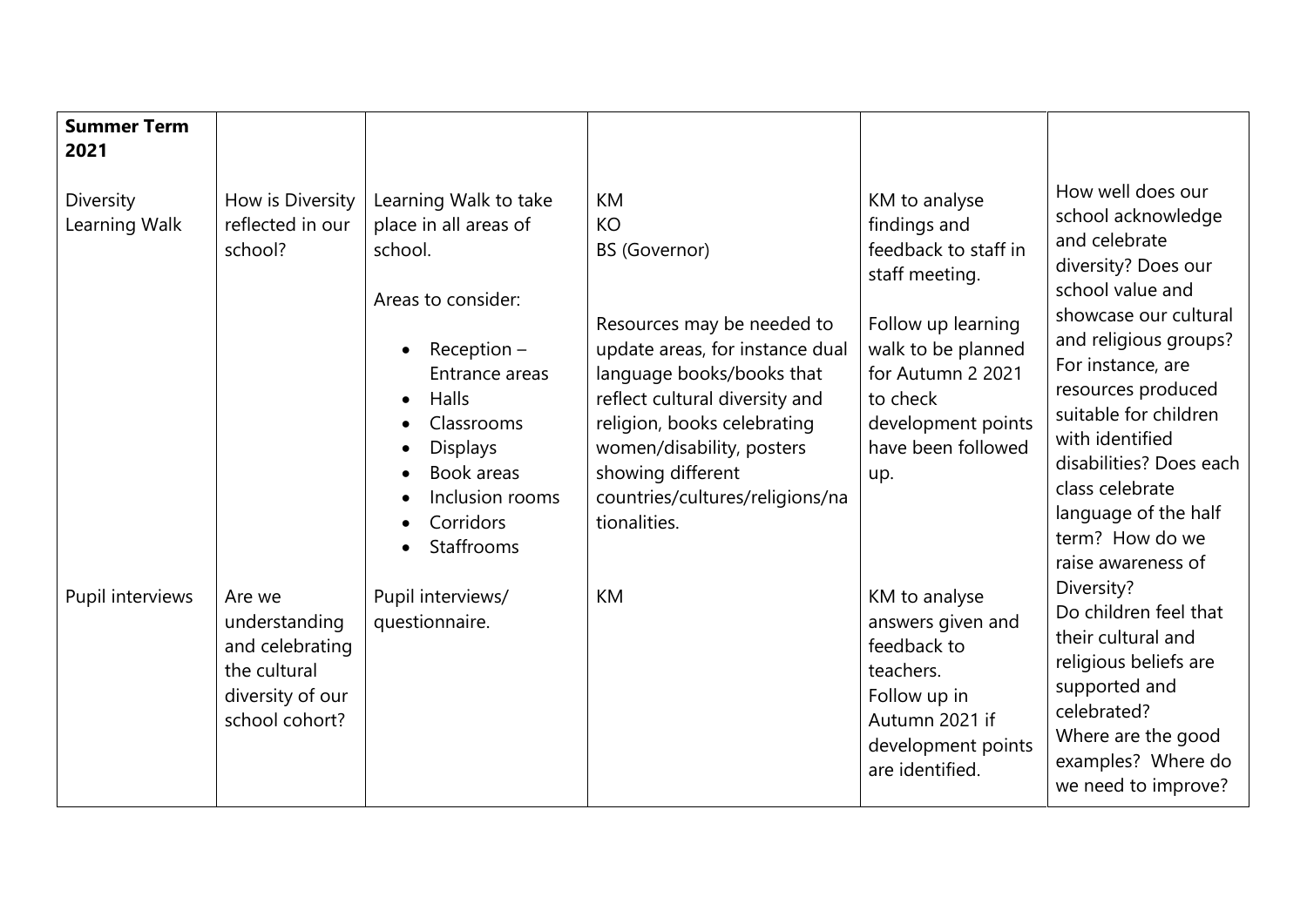| <b>Summer Term</b><br>2021 |                                                                                                  |                                                                                                                                                                                                                          |                                                                                                                                                                                                                                                                                                                    |                                                                                                                                                                                                         |                                                                                                                                                                                                                                                                                                                                                             |
|----------------------------|--------------------------------------------------------------------------------------------------|--------------------------------------------------------------------------------------------------------------------------------------------------------------------------------------------------------------------------|--------------------------------------------------------------------------------------------------------------------------------------------------------------------------------------------------------------------------------------------------------------------------------------------------------------------|---------------------------------------------------------------------------------------------------------------------------------------------------------------------------------------------------------|-------------------------------------------------------------------------------------------------------------------------------------------------------------------------------------------------------------------------------------------------------------------------------------------------------------------------------------------------------------|
| Diversity<br>Learning Walk | How is Diversity<br>reflected in our<br>school?                                                  | Learning Walk to take<br>place in all areas of<br>school.<br>Areas to consider:<br>Reception $-$<br>Entrance areas<br>Halls<br>Classrooms<br><b>Displays</b><br>Book areas<br>Inclusion rooms<br>Corridors<br>Staffrooms | <b>KM</b><br><b>KO</b><br><b>BS</b> (Governor)<br>Resources may be needed to<br>update areas, for instance dual<br>language books/books that<br>reflect cultural diversity and<br>religion, books celebrating<br>women/disability, posters<br>showing different<br>countries/cultures/religions/na<br>tionalities. | KM to analyse<br>findings and<br>feedback to staff in<br>staff meeting.<br>Follow up learning<br>walk to be planned<br>for Autumn 2 2021<br>to check<br>development points<br>have been followed<br>up. | How well does our<br>school acknowledge<br>and celebrate<br>diversity? Does our<br>school value and<br>showcase our cultural<br>and religious groups?<br>For instance, are<br>resources produced<br>suitable for children<br>with identified<br>disabilities? Does each<br>class celebrate<br>language of the half<br>term? How do we<br>raise awareness of |
| Pupil interviews           | Are we<br>understanding<br>and celebrating<br>the cultural<br>diversity of our<br>school cohort? | Pupil interviews/<br>questionnaire.                                                                                                                                                                                      | <b>KM</b>                                                                                                                                                                                                                                                                                                          | KM to analyse<br>answers given and<br>feedback to<br>teachers.<br>Follow up in<br>Autumn 2021 if<br>development points<br>are identified.                                                               | Diversity?<br>Do children feel that<br>their cultural and<br>religious beliefs are<br>supported and<br>celebrated?<br>Where are the good<br>examples? Where do<br>we need to improve?                                                                                                                                                                       |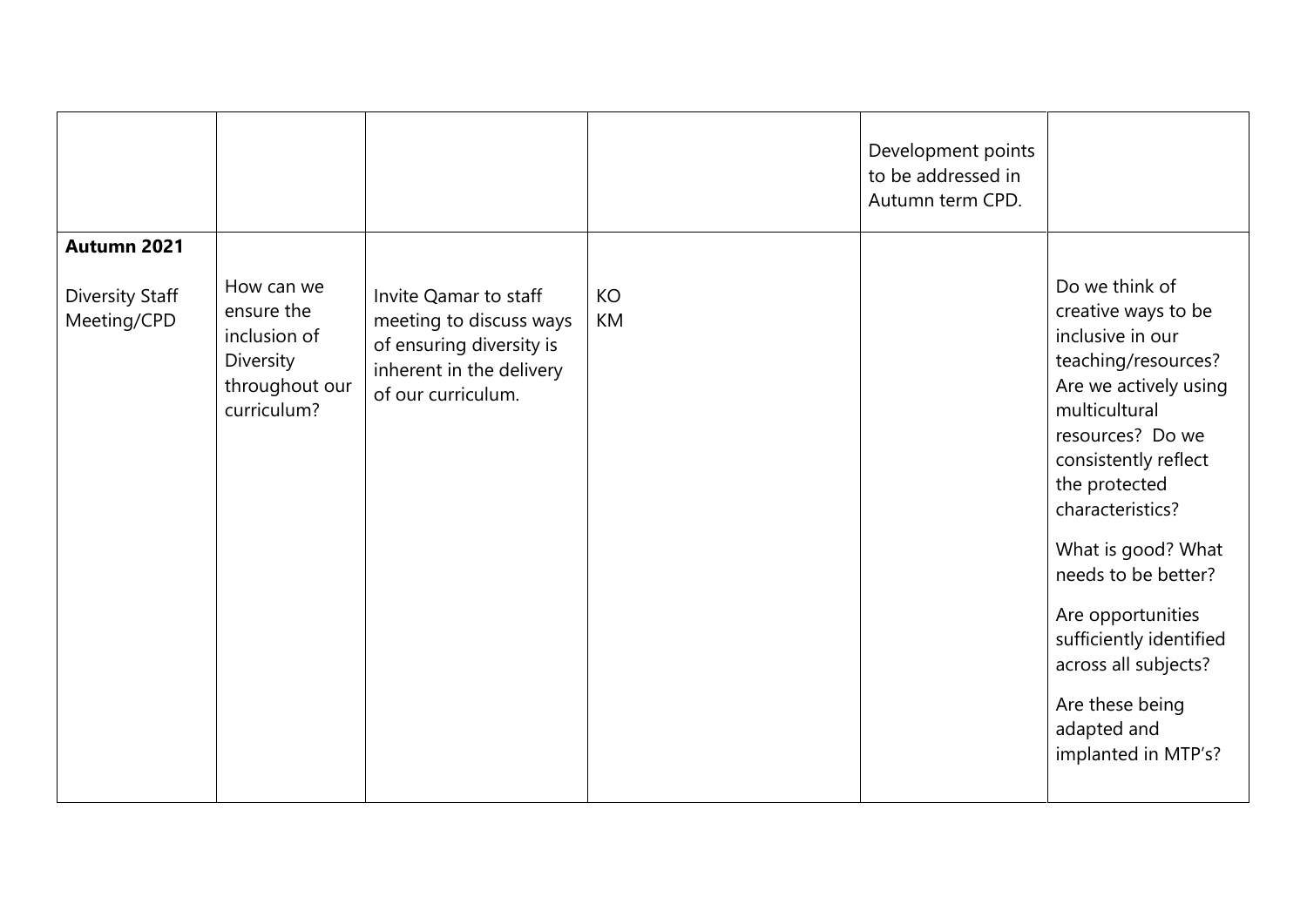|                                |                                                                                               |                                                                                                                                |          | Development points<br>to be addressed in<br>Autumn term CPD. |                                                                                                                                                                                                                                                                                                                                                                                           |
|--------------------------------|-----------------------------------------------------------------------------------------------|--------------------------------------------------------------------------------------------------------------------------------|----------|--------------------------------------------------------------|-------------------------------------------------------------------------------------------------------------------------------------------------------------------------------------------------------------------------------------------------------------------------------------------------------------------------------------------------------------------------------------------|
| Autumn 2021                    |                                                                                               |                                                                                                                                |          |                                                              |                                                                                                                                                                                                                                                                                                                                                                                           |
| Diversity Staff<br>Meeting/CPD | How can we<br>ensure the<br>inclusion of<br><b>Diversity</b><br>throughout our<br>curriculum? | Invite Qamar to staff<br>meeting to discuss ways<br>of ensuring diversity is<br>inherent in the delivery<br>of our curriculum. | KO<br>KM |                                                              | Do we think of<br>creative ways to be<br>inclusive in our<br>teaching/resources?<br>Are we actively using<br>multicultural<br>resources? Do we<br>consistently reflect<br>the protected<br>characteristics?<br>What is good? What<br>needs to be better?<br>Are opportunities<br>sufficiently identified<br>across all subjects?<br>Are these being<br>adapted and<br>implanted in MTP's? |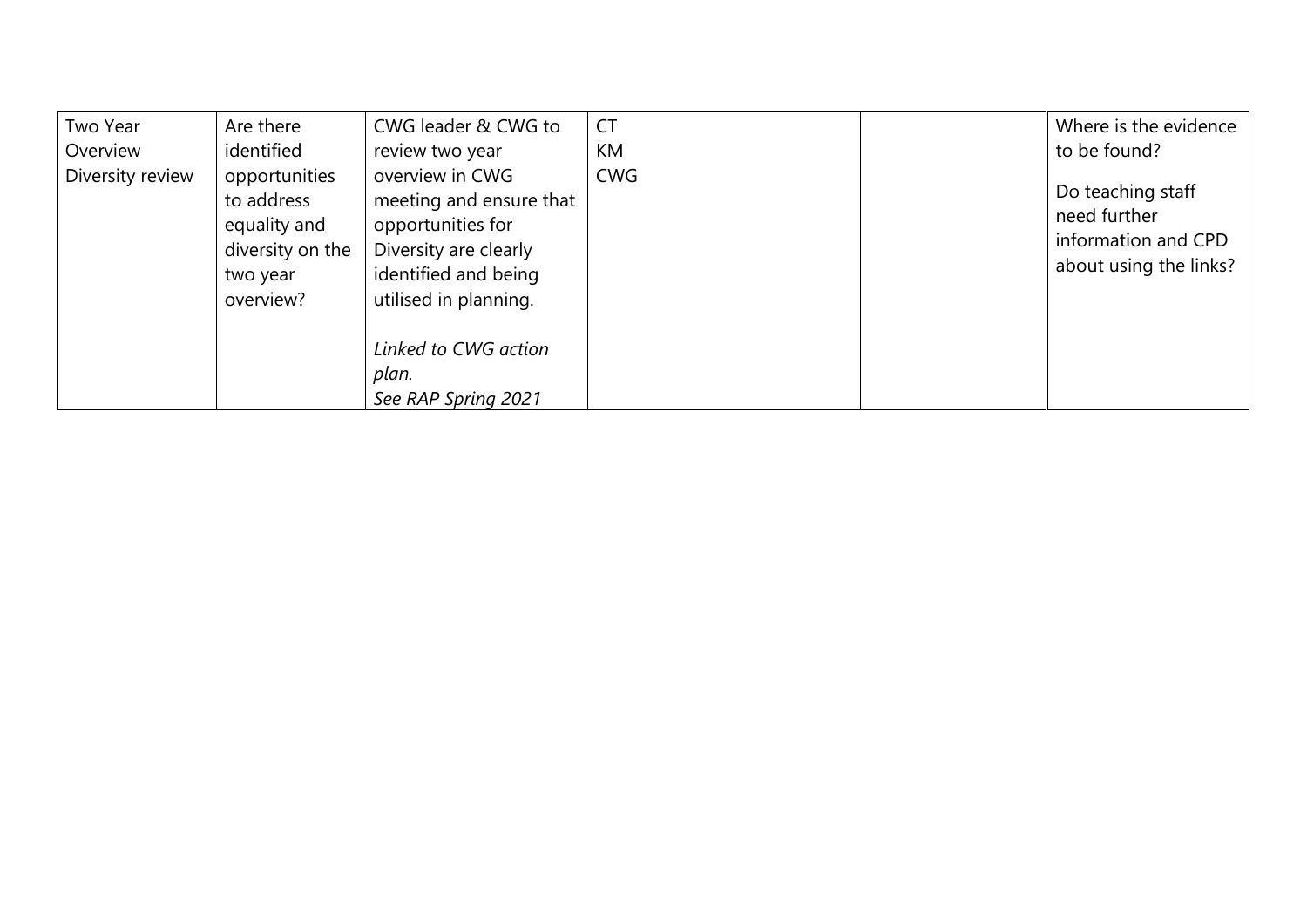| Two Year         | Are there                                                                                | CWG leader & CWG to                                                                                                                       | <b>CT</b>  | Where is the evidence                                                              |
|------------------|------------------------------------------------------------------------------------------|-------------------------------------------------------------------------------------------------------------------------------------------|------------|------------------------------------------------------------------------------------|
| Overview         | identified                                                                               | review two year                                                                                                                           | <b>KM</b>  | to be found?                                                                       |
| Diversity review | opportunities<br>to address<br>equality and<br>diversity on the<br>two year<br>overview? | overview in CWG<br>meeting and ensure that<br>opportunities for<br>Diversity are clearly<br>identified and being<br>utilised in planning. | <b>CWG</b> | Do teaching staff<br>need further<br>information and CPD<br>about using the links? |
|                  |                                                                                          | Linked to CWG action<br>plan.<br>See RAP Spring 2021                                                                                      |            |                                                                                    |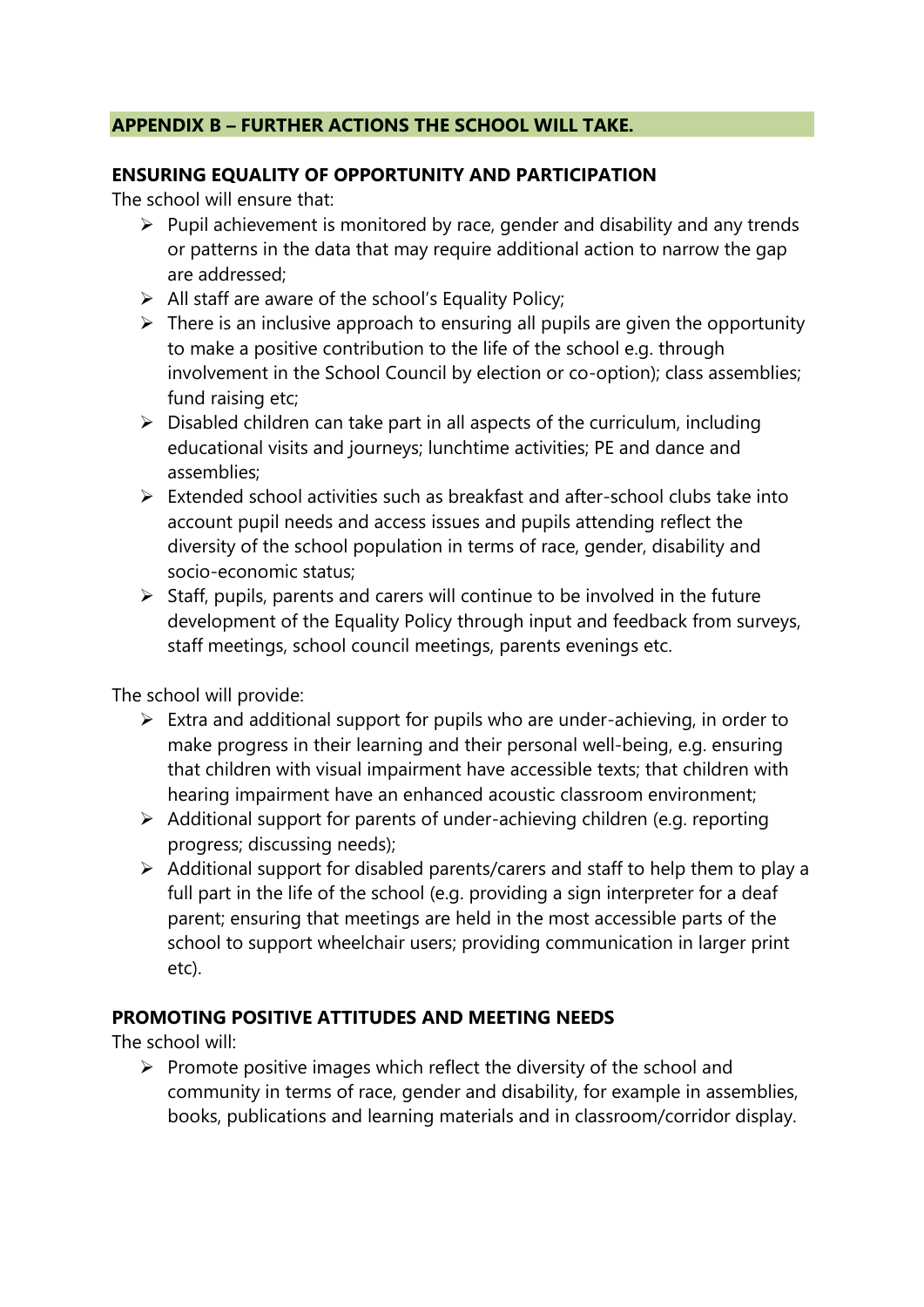#### **APPENDIX B – FURTHER ACTIONS THE SCHOOL WILL TAKE.**

#### **ENSURING EQUALITY OF OPPORTUNITY AND PARTICIPATION**

The school will ensure that:

- $\triangleright$  Pupil achievement is monitored by race, gender and disability and any trends or patterns in the data that may require additional action to narrow the gap are addressed;
- $\triangleright$  All staff are aware of the school's Equality Policy;
- $\triangleright$  There is an inclusive approach to ensuring all pupils are given the opportunity to make a positive contribution to the life of the school e.g. through involvement in the School Council by election or co-option); class assemblies; fund raising etc;
- ➢ Disabled children can take part in all aspects of the curriculum, including educational visits and journeys; lunchtime activities; PE and dance and assemblies;
- $\triangleright$  Extended school activities such as breakfast and after-school clubs take into account pupil needs and access issues and pupils attending reflect the diversity of the school population in terms of race, gender, disability and socio-economic status;
- ➢ Staff, pupils, parents and carers will continue to be involved in the future development of the Equality Policy through input and feedback from surveys, staff meetings, school council meetings, parents evenings etc.

The school will provide:

- $\triangleright$  Extra and additional support for pupils who are under-achieving, in order to make progress in their learning and their personal well-being, e.g. ensuring that children with visual impairment have accessible texts; that children with hearing impairment have an enhanced acoustic classroom environment;
- ➢ Additional support for parents of under-achieving children (e.g. reporting progress; discussing needs);
- ➢ Additional support for disabled parents/carers and staff to help them to play a full part in the life of the school (e.g. providing a sign interpreter for a deaf parent; ensuring that meetings are held in the most accessible parts of the school to support wheelchair users; providing communication in larger print etc).

#### **PROMOTING POSITIVE ATTITUDES AND MEETING NEEDS**

The school will:

 $\triangleright$  Promote positive images which reflect the diversity of the school and community in terms of race, gender and disability, for example in assemblies, books, publications and learning materials and in classroom/corridor display.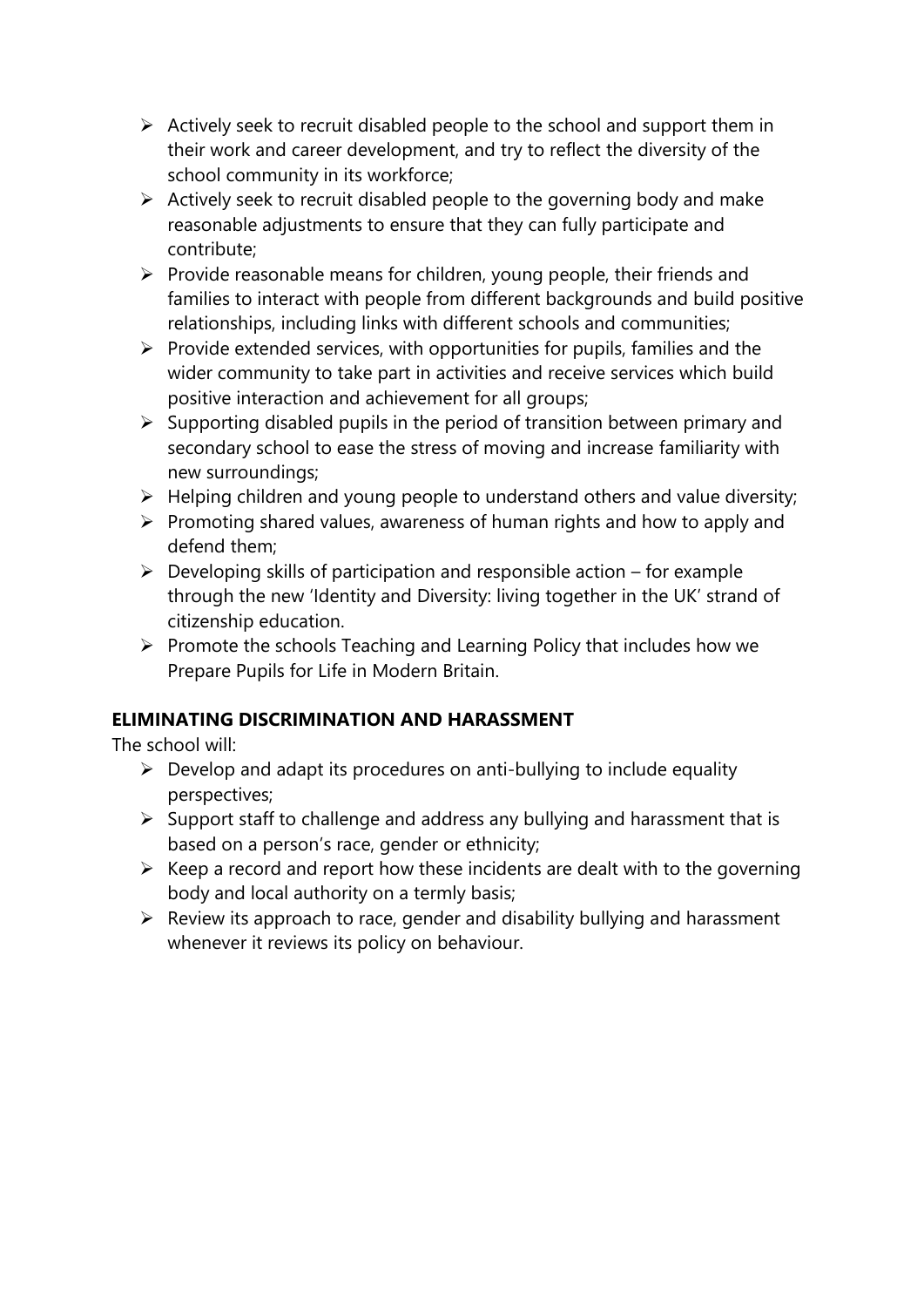- $\triangleright$  Actively seek to recruit disabled people to the school and support them in their work and career development, and try to reflect the diversity of the school community in its workforce;
- $\triangleright$  Actively seek to recruit disabled people to the governing body and make reasonable adjustments to ensure that they can fully participate and contribute;
- ➢ Provide reasonable means for children, young people, their friends and families to interact with people from different backgrounds and build positive relationships, including links with different schools and communities;
- $\triangleright$  Provide extended services, with opportunities for pupils, families and the wider community to take part in activities and receive services which build positive interaction and achievement for all groups;
- ➢ Supporting disabled pupils in the period of transition between primary and secondary school to ease the stress of moving and increase familiarity with new surroundings;
- $\triangleright$  Helping children and young people to understand others and value diversity;
- ➢ Promoting shared values, awareness of human rights and how to apply and defend them;
- $\triangleright$  Developing skills of participation and responsible action for example through the new 'Identity and Diversity: living together in the UK' strand of citizenship education.
- ➢ Promote the schools Teaching and Learning Policy that includes how we Prepare Pupils for Life in Modern Britain.

#### **ELIMINATING DISCRIMINATION AND HARASSMENT**

The school will:

- $\triangleright$  Develop and adapt its procedures on anti-bullying to include equality perspectives;
- $\triangleright$  Support staff to challenge and address any bullying and harassment that is based on a person's race, gender or ethnicity;
- ➢ Keep a record and report how these incidents are dealt with to the governing body and local authority on a termly basis;
- $\triangleright$  Review its approach to race, gender and disability bullying and harassment whenever it reviews its policy on behaviour.